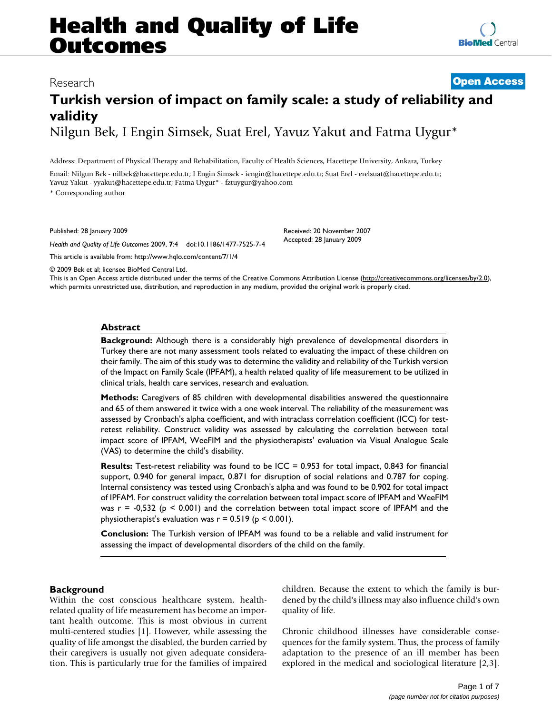# **Health and Quality of Life Outcomes**

# **Turkish version of impact on family scale: a study of reliability and validity** Nilgun Bek, I Engin Simsek, Suat Erel, Yavuz Yakut and Fatma Uygur\*

Address: Department of Physical Therapy and Rehabilitation, Faculty of Health Sciences, Hacettepe University, Ankara, Turkey

Email: Nilgun Bek - nilbek@hacettepe.edu.tr; I Engin Simsek - iengin@hacettepe.edu.tr; Suat Erel - erelsuat@hacettepe.edu.tr; Yavuz Yakut - yyakut@hacettepe.edu.tr; Fatma Uygur\* - fztuygur@yahoo.com

\* Corresponding author

Published: 28 January 2009

*Health and Quality of Life Outcomes* 2009, **7**:4 doi:10.1186/1477-7525-7-4

[This article is available from: http://www.hqlo.com/content/7/1/4](http://www.hqlo.com/content/7/1/4)

Received: 20 November 2007 Accepted: 28 January 2009

© 2009 Bek et al; licensee BioMed Central Ltd.

This is an Open Access article distributed under the terms of the Creative Commons Attribution License [\(http://creativecommons.org/licenses/by/2.0\)](http://creativecommons.org/licenses/by/2.0), which permits unrestricted use, distribution, and reproduction in any medium, provided the original work is properly cited.

# **Abstract**

**Background:** Although there is a considerably high prevalence of developmental disorders in Turkey there are not many assessment tools related to evaluating the impact of these children on their family. The aim of this study was to determine the validity and reliability of the Turkish version of the Impact on Family Scale (IPFAM), a health related quality of life measurement to be utilized in clinical trials, health care services, research and evaluation.

**Methods:** Caregivers of 85 children with developmental disabilities answered the questionnaire and 65 of them answered it twice with a one week interval. The reliability of the measurement was assessed by Cronbach's alpha coefficient, and with intraclass correlation coefficient (ICC) for testretest reliability. Construct validity was assessed by calculating the correlation between total impact score of IPFAM, WeeFIM and the physiotherapists' evaluation via Visual Analogue Scale (VAS) to determine the child's disability.

**Results:** Test-retest reliability was found to be ICC = 0.953 for total impact, 0.843 for financial support, 0.940 for general impact, 0.871 for disruption of social relations and 0.787 for coping. Internal consistency was tested using Cronbach's alpha and was found to be 0.902 for total impact of IPFAM. For construct validity the correlation between total impact score of IPFAM and WeeFIM was  $r = -0.532$  ( $p \le 0.001$ ) and the correlation between total impact score of IPFAM and the physiotherapist's evaluation was  $r = 0.519$  ( $p \le 0.001$ ).

**Conclusion:** The Turkish version of IPFAM was found to be a reliable and valid instrument for assessing the impact of developmental disorders of the child on the family.

# **Background**

Within the cost conscious healthcare system, healthrelated quality of life measurement has become an important health outcome. This is most obvious in current multi-centered studies [\[1\]](#page-5-0). However, while assessing the quality of life amongst the disabled, the burden carried by their caregivers is usually not given adequate consideration. This is particularly true for the families of impaired children. Because the extent to which the family is burdened by the child's illness may also influence child's own quality of life.

Chronic childhood illnesses have considerable consequences for the family system. Thus, the process of family adaptation to the presence of an ill member has been explored in the medical and sociological literature [[2](#page-5-1),[3](#page-5-2)].

# Research **[Open Access](http://www.biomedcentral.com/info/about/charter/)**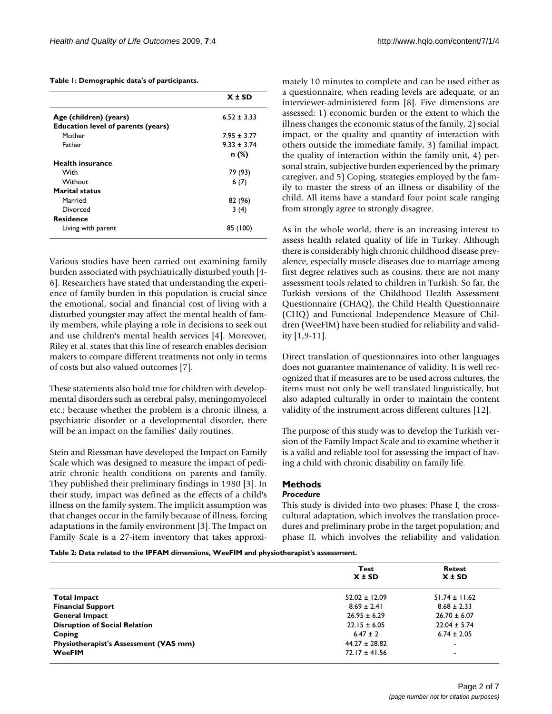<span id="page-1-0"></span>**Table 1: Demographic data's of participants.**

|                                           | $X \pm SD$      |
|-------------------------------------------|-----------------|
| Age (children) (years)                    | $6.52 \pm 3.33$ |
| <b>Education level of parents (years)</b> |                 |
| Mother                                    | $7.95 \pm 3.77$ |
| Father                                    | $9.33 + 3.74$   |
|                                           | n (%)           |
| Health insurance                          |                 |
| With                                      | 79 (93)         |
| Without                                   | 6(7)            |
| <b>Marital status</b>                     |                 |
| Married                                   | 82 (96)         |
| Divorced                                  | 3(4)            |
| <b>Residence</b>                          |                 |
| Living with parent                        | 85 (100)        |

Various studies have been carried out examining family burden associated with psychiatrically disturbed youth [[4](#page-6-0)- [6\]](#page-6-1). Researchers have stated that understanding the experience of family burden in this population is crucial since the emotional, social and financial cost of living with a disturbed youngster may affect the mental health of family members, while playing a role in decisions to seek out and use children's mental health services [\[4\]](#page-6-0). Moreover, Riley et al. states that this line of research enables decision makers to compare different treatments not only in terms of costs but also valued outcomes [[7](#page-6-2)].

These statements also hold true for children with developmental disorders such as cerebral palsy, meningomyolecel etc.; because whether the problem is a chronic illness, a psychiatric disorder or a developmental disorder, there will be an impact on the families' daily routines.

Stein and Riessman have developed the Impact on Family Scale which was designed to measure the impact of pediatric chronic health conditions on parents and family. They published their preliminary findings in 1980 [\[3\]](#page-5-2). In their study, impact was defined as the effects of a child's illness on the family system. The implicit assumption was that changes occur in the family because of illness, forcing adaptations in the family environment [\[3](#page-5-2)]. The Impact on Family Scale is a 27-item inventory that takes approximately 10 minutes to complete and can be used either as a questionnaire, when reading levels are adequate, or an interviewer-administered form [\[8](#page-6-3)]. Five dimensions are assessed: 1) economic burden or the extent to which the illness changes the economic status of the family, 2) social impact, or the quality and quantity of interaction with others outside the immediate family, 3) familial impact, the quality of interaction within the family unit, 4) personal strain, subjective burden experienced by the primary caregiver, and 5) Coping, strategies employed by the family to master the stress of an illness or disability of the child. All items have a standard four point scale ranging from strongly agree to strongly disagree.

As in the whole world, there is an increasing interest to assess health related quality of life in Turkey. Although there is considerably high chronic childhood disease prevalence, especially muscle diseases due to marriage among first degree relatives such as cousins, there are not many assessment tools related to children in Turkish. So far, the Turkish versions of the Childhood Health Assessment Questionnaire (CHAQ), the Child Health Questionnaire (CHQ) and Functional Independence Measure of Children (WeeFIM) have been studied for reliability and validity [[1](#page-5-0),[9](#page-6-4)[-11\]](#page-6-5).

Direct translation of questionnaires into other languages does not guarantee maintenance of validity. It is well recognized that if measures are to be used across cultures, the items must not only be well translated linguistically, but also adapted culturally in order to maintain the content validity of the instrument across different cultures [\[12](#page-6-6)].

The purpose of this study was to develop the Turkish version of the Family Impact Scale and to examine whether it is a valid and reliable tool for assessing the impact of having a child with chronic disability on family life.

# **Methods**

# *Procedure*

This study is divided into two phases: Phase I, the crosscultural adaptation, which involves the translation procedures and preliminary probe in the target population; and phase II, which involves the reliability and validation

<span id="page-1-1"></span>**Table 2: Data related to the IPFAM dimensions, WeeFIM and physiotherapist's assessment.**

|                                              | Test<br>$X \pm SD$ | Retest<br>$X \pm SD$     |
|----------------------------------------------|--------------------|--------------------------|
| <b>Total Impact</b>                          | $52.02 \pm 12.09$  | $51.74 \pm 11.62$        |
| <b>Financial Support</b>                     | $8.69 \pm 2.41$    | $8.68 \pm 2.33$          |
| <b>General Impact</b>                        | $26.95 \pm 6.29$   | $26.70 \pm 6.07$         |
| <b>Disruption of Social Relation</b>         | $22.15 \pm 6.05$   | $22.04 \pm 5.74$         |
| Coping                                       | $6.47 \pm 2$       | $6.74 \pm 2.05$          |
| <b>Physiotherapist's Assessment (VAS mm)</b> | $44.27 \pm 28.82$  |                          |
| <b>WeeFIM</b>                                | $72.17 \pm 41.56$  | $\overline{\phantom{0}}$ |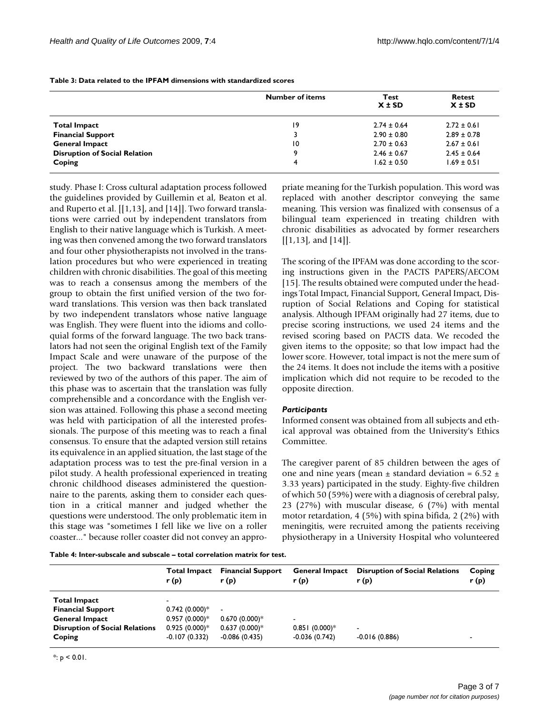|                                      | <b>Number of items</b> | <b>Test</b><br>$X \pm SD$ | Retest<br>$X \pm SD$ |
|--------------------------------------|------------------------|---------------------------|----------------------|
| <b>Total Impact</b>                  | 19                     | $2.74 \pm 0.64$           | $2.72 \pm 0.61$      |
| <b>Financial Support</b>             |                        | $2.90 \pm 0.80$           | $2.89 \pm 0.78$      |
| <b>General Impact</b>                | 10                     | $2.70 \pm 0.63$           | $2.67 \pm 0.61$      |
| <b>Disruption of Social Relation</b> | 9                      | $2.46 \pm 0.67$           | $2.45 \pm 0.64$      |
| Coping                               | 4                      | $1.62 \pm 0.50$           | $1.69 \pm 0.51$      |

<span id="page-2-0"></span>**Table 3: Data related to the IPFAM dimensions with standardized scores**

study. Phase I: Cross cultural adaptation process followed the guidelines provided by Guillemin et al, Beaton et al. and Ruperto et al. [[\[1,](#page-5-0)[13](#page-6-7)], and [[14\]](#page-6-8)]. Two forward translations were carried out by independent translators from English to their native language which is Turkish. A meeting was then convened among the two forward translators and four other physiotherapists not involved in the translation procedures but who were experienced in treating children with chronic disabilities. The goal of this meeting was to reach a consensus among the members of the group to obtain the first unified version of the two forward translations. This version was then back translated by two independent translators whose native language was English. They were fluent into the idioms and colloquial forms of the forward language. The two back translators had not seen the original English text of the Family Impact Scale and were unaware of the purpose of the project. The two backward translations were then reviewed by two of the authors of this paper. The aim of this phase was to ascertain that the translation was fully comprehensible and a concordance with the English version was attained. Following this phase a second meeting was held with participation of all the interested professionals. The purpose of this meeting was to reach a final consensus. To ensure that the adapted version still retains its equivalence in an applied situation, the last stage of the adaptation process was to test the pre-final version in a pilot study. A health professional experienced in treating chronic childhood diseases administered the questionnaire to the parents, asking them to consider each question in a critical manner and judged whether the questions were understood. The only problematic item in this stage was "sometimes I fell like we live on a roller coaster..." because roller coaster did not convey an appropriate meaning for the Turkish population. This word was replaced with another descriptor conveying the same meaning. This version was finalized with consensus of a bilingual team experienced in treating children with chronic disabilities as advocated by former researchers [[[1](#page-5-0),[13\]](#page-6-7), and [\[14\]](#page-6-8)].

The scoring of the IPFAM was done according to the scoring instructions given in the PACTS PAPERS/AECOM [[15](#page-6-9)]. The results obtained were computed under the headings Total Impact, Financial Support, General Impact, Disruption of Social Relations and Coping for statistical analysis. Although IPFAM originally had 27 items, due to precise scoring instructions, we used 24 items and the revised scoring based on PACTS data. We recoded the given items to the opposite; so that low impact had the lower score. However, total impact is not the mere sum of the 24 items. It does not include the items with a positive implication which did not require to be recoded to the opposite direction.

## *Participants*

Informed consent was obtained from all subjects and ethical approval was obtained from the University's Ethics Committee.

The caregiver parent of 85 children between the ages of one and nine years (mean  $\pm$  standard deviation = 6.52  $\pm$ 3.33 years) participated in the study. Eighty-five children of which 50 (59%) were with a diagnosis of cerebral palsy, 23 (27%) with muscular disease, 6 (7%) with mental motor retardation, 4 (5%) with spina bifida, 2 (2%) with meningitis, were recruited among the patients receiving physiotherapy in a University Hospital who volunteered

<span id="page-2-1"></span>**Table 4: Inter-subscale and subscale – total correlation matrix for test.**

|                                       | <b>Total Impact</b><br>r(p) | <b>Financial Support</b><br>r(p) | <b>General Impact</b><br>r (p) | <b>Disruption of Social Relations</b><br>r(p) | Coping<br>r(p) |
|---------------------------------------|-----------------------------|----------------------------------|--------------------------------|-----------------------------------------------|----------------|
| <b>Total Impact</b>                   | -                           |                                  |                                |                                               |                |
| <b>Financial Support</b>              | $0.742(0.000)*$             | $\overline{\phantom{a}}$         |                                |                                               |                |
| <b>General Impact</b>                 | $0.957(0.000)*$             | $0.670(0.000)*$                  | $\blacksquare$                 |                                               |                |
| <b>Disruption of Social Relations</b> | $0.925(0.000)*$             | $0.637(0.000)*$                  | $0.851(0.000)*$                |                                               |                |
| Coping                                | $-0.107(0.332)$             | $-0.086(0.435)$                  | $-0.036(0.742)$                | $-0.016(0.886)$                               |                |
|                                       |                             |                                  |                                |                                               |                |

 $*$ :  $p < 0.01$ .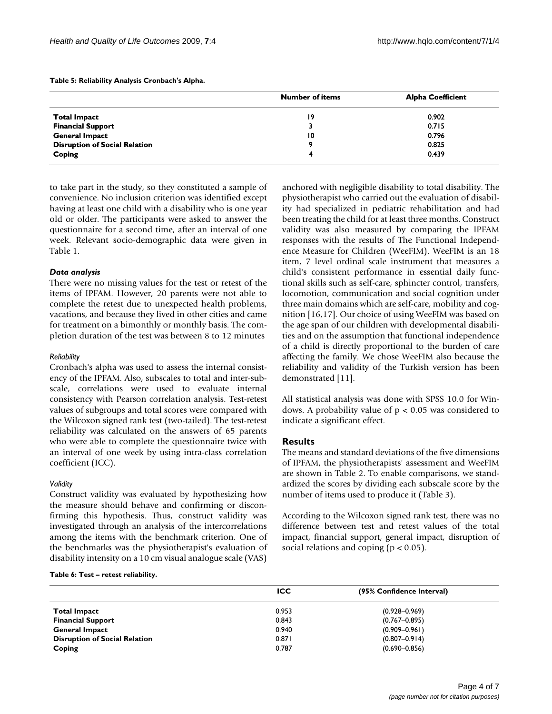<span id="page-3-0"></span>**Table 5: Reliability Analysis Cronbach's Alpha.**

|                                      | <b>Number of items</b> | <b>Alpha Coefficient</b> |
|--------------------------------------|------------------------|--------------------------|
| <b>Total Impact</b>                  | 19                     | 0.902                    |
| <b>Financial Support</b>             |                        | 0.715                    |
| <b>General Impact</b>                | 10                     | 0.796                    |
| <b>Disruption of Social Relation</b> | о                      | 0.825                    |
| Coping                               |                        | 0.439                    |

to take part in the study, so they constituted a sample of convenience. No inclusion criterion was identified except having at least one child with a disability who is one year old or older. The participants were asked to answer the questionnaire for a second time, after an interval of one week. Relevant socio-demographic data were given in Table [1.](#page-1-0)

## *Data analysis*

There were no missing values for the test or retest of the items of IPFAM. However, 20 parents were not able to complete the retest due to unexpected health problems, vacations, and because they lived in other cities and came for treatment on a bimonthly or monthly basis. The completion duration of the test was between 8 to 12 minutes

#### *Reliability*

Cronbach's alpha was used to assess the internal consistency of the IPFAM. Also, subscales to total and inter-subscale, correlations were used to evaluate internal consistency with Pearson correlation analysis. Test-retest values of subgroups and total scores were compared with the Wilcoxon signed rank test (two-tailed). The test-retest reliability was calculated on the answers of 65 parents who were able to complete the questionnaire twice with an interval of one week by using intra-class correlation coefficient (ICC).

## *Validity*

Construct validity was evaluated by hypothesizing how the measure should behave and confirming or disconfirming this hypothesis. Thus, construct validity was investigated through an analysis of the intercorrelations among the items with the benchmark criterion. One of the benchmarks was the physiotherapist's evaluation of disability intensity on a 10 cm visual analogue scale (VAS)

# been treating the child for at least three months. Construct validity was also measured by comparing the IPFAM responses with the results of The Functional Independence Measure for Children (WeeFIM). WeeFIM is an 18 item, 7 level ordinal scale instrument that measures a child's consistent performance in essential daily functional skills such as self-care, sphincter control, transfers, locomotion, communication and social cognition under three main domains which are self-care, mobility and cognition [[16,](#page-6-10)[17\]](#page-6-11). Our choice of using WeeFIM was based on the age span of our children with developmental disabilities and on the assumption that functional independence of a child is directly proportional to the burden of care affecting the family. We chose WeeFIM also because the reliability and validity of the Turkish version has been demonstrated [\[11](#page-6-5)].

anchored with negligible disability to total disability. The physiotherapist who carried out the evaluation of disability had specialized in pediatric rehabilitation and had

All statistical analysis was done with SPSS 10.0 for Windows. A probability value of p < 0.05 was considered to indicate a significant effect.

# **Results**

The means and standard deviations of the five dimensions of IPFAM, the physiotherapists' assessment and WeeFIM are shown in Table [2](#page-1-1). To enable comparisons, we standardized the scores by dividing each subscale score by the number of items used to produce it (Table [3](#page-2-0)).

According to the Wilcoxon signed rank test, there was no difference between test and retest values of the total impact, financial support, general impact, disruption of social relations and coping ( $p < 0.05$ ).

#### <span id="page-3-1"></span>**Table 6: Test – retest reliability.**

|                                      | ICC   | (95% Confidence Interval) |
|--------------------------------------|-------|---------------------------|
| <b>Total Impact</b>                  | 0.953 | $(0.928 - 0.969)$         |
| <b>Financial Support</b>             | 0.843 | $(0.767 - 0.895)$         |
| <b>General Impact</b>                | 0.940 | $(0.909 - 0.961)$         |
| <b>Disruption of Social Relation</b> | 0.871 | $(0.807 - 0.914)$         |
| Coping                               | 0.787 | $(0.690 - 0.856)$         |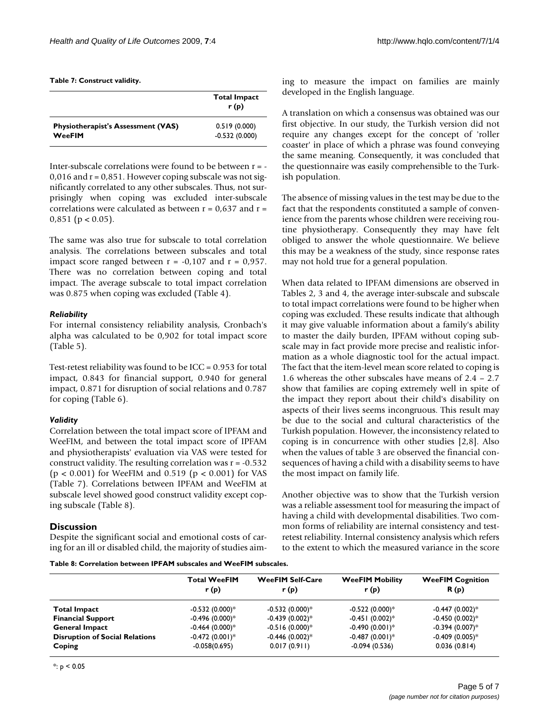<span id="page-4-0"></span>

| Table 7: Construct validity. |  |
|------------------------------|--|
|------------------------------|--|

|                                           | <b>Total Impact</b><br>r(p) |
|-------------------------------------------|-----------------------------|
| <b>Physiotherapist's Assessment (VAS)</b> | 0.519(0.000)                |
| WeeFIM                                    | $-0.532(0.000)$             |

Inter-subscale correlations were found to be between r = -  $0.016$  and  $r = 0.851$ . However coping subscale was not significantly correlated to any other subscales. Thus, not surprisingly when coping was excluded inter-subscale correlations were calculated as between  $r = 0.637$  and  $r =$  $0.851$  (p < 0.05).

The same was also true for subscale to total correlation analysis. The correlations between subscales and total impact score ranged between  $r = -0.107$  and  $r = 0.957$ . There was no correlation between coping and total impact. The average subscale to total impact correlation was 0.875 when coping was excluded (Table [4\)](#page-2-1).

# *Reliability*

For internal consistency reliability analysis, Cronbach's alpha was calculated to be 0,902 for total impact score (Table [5\)](#page-3-0).

Test-retest reliability was found to be ICC = 0.953 for total impact, 0.843 for financial support, 0.940 for general impact, 0.871 for disruption of social relations and 0.787 for coping (Table [6\)](#page-3-1).

# *Validity*

Correlation between the total impact score of IPFAM and WeeFIM, and between the total impact score of IPFAM and physiotherapists' evaluation via VAS were tested for construct validity. The resulting correlation was  $r = -0.532$ (p < 0.001) for WeeFIM and 0.519 (p < 0.001) for VAS (Table [7](#page-4-0)). Correlations between IPFAM and WeeFIM at subscale level showed good construct validity except coping subscale (Table [8](#page-4-1)).

# **Discussion**

Despite the significant social and emotional costs of caring for an ill or disabled child, the majority of studies aim-

<span id="page-4-1"></span>**Table 8: Correlation between IPFAM subscales and WeeFIM subscales.**

ing to measure the impact on families are mainly developed in the English language.

A translation on which a consensus was obtained was our first objective. In our study, the Turkish version did not require any changes except for the concept of 'roller coaster' in place of which a phrase was found conveying the same meaning. Consequently, it was concluded that the questionnaire was easily comprehensible to the Turkish population.

The absence of missing values in the test may be due to the fact that the respondents constituted a sample of convenience from the parents whose children were receiving routine physiotherapy. Consequently they may have felt obliged to answer the whole questionnaire. We believe this may be a weakness of the study, since response rates may not hold true for a general population.

When data related to IPFAM dimensions are observed in Tables [2,](#page-1-1) [3](#page-2-0) and [4](#page-2-1), the average inter-subscale and subscale to total impact correlations were found to be higher when coping was excluded. These results indicate that although it may give valuable information about a family's ability to master the daily burden, IPFAM without coping subscale may in fact provide more precise and realistic information as a whole diagnostic tool for the actual impact. The fact that the item-level mean score related to coping is 1.6 whereas the other subscales have means of 2.4 – 2.7 show that families are coping extremely well in spite of the impact they report about their child's disability on aspects of their lives seems incongruous. This result may be due to the social and cultural characteristics of the Turkish population. However, the inconsistency related to coping is in concurrence with other studies [\[2](#page-5-1)[,8](#page-6-3)]. Also when the values of table [3](#page-2-0) are observed the financial consequences of having a child with a disability seems to have the most impact on family life.

Another objective was to show that the Turkish version was a reliable assessment tool for measuring the impact of having a child with developmental disabilities. Two common forms of reliability are internal consistency and testretest reliability. Internal consistency analysis which refers to the extent to which the measured variance in the score

|                                       | <b>Total WeeFIM</b><br>r(p) | <b>WeeFIM Self-Care</b><br>r(p) | <b>WeeFIM Mobility</b><br>r(p) | <b>WeeFIM Cognition</b><br>R(p) |
|---------------------------------------|-----------------------------|---------------------------------|--------------------------------|---------------------------------|
| <b>Total Impact</b>                   | $-0.532(0.000)*$            | $-0.532(0.000)*$                | $-0.522(0.000)*$               | $-0.447(0.002)*$                |
| <b>Financial Support</b>              | $-0.496(0.000)*$            | $-0.439(0.002)*$                | $-0.451(0.002)*$               | $-0.450(0.002)*$                |
| <b>General Impact</b>                 | $-0.464(0.000)*$            | $-0.516(0.000)*$                | $-0.490(0.001)*$               | $-0.394(0.007)*$                |
| <b>Disruption of Social Relations</b> | $-0.472(0.001)*$            | $-0.446(0.002)*$                | $-0.487(0.001)*$               | $-0.409(0.005)*$                |
| Coping                                | $-0.058(0.695)$             | 0.017(0.911)                    | $-0.094(0.536)$                | 0.036(0.814)                    |

 $*$ : p < 0.05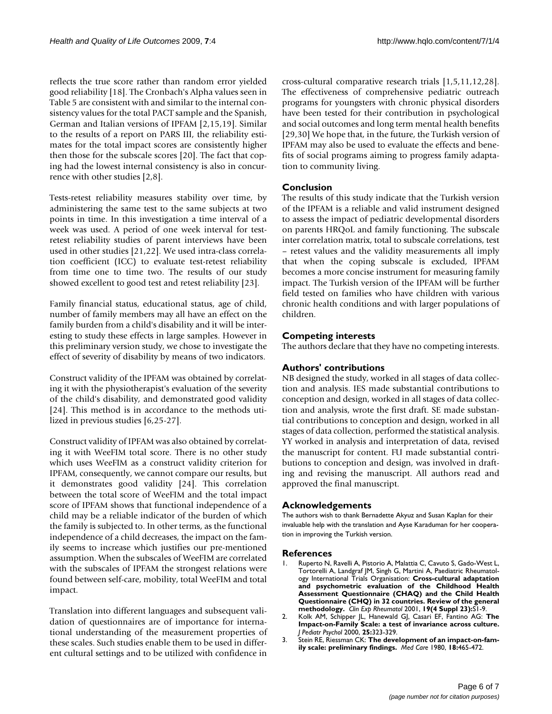reflects the true score rather than random error yielded good reliability [[18\]](#page-6-12). The Cronbach's Alpha values seen in Table [5](#page-3-0) are consistent with and similar to the internal consistency values for the total PACT sample and the Spanish, German and Italian versions of IPFAM [[2](#page-5-1),[15,](#page-6-9)[19](#page-6-13)]. Similar to the results of a report on PARS III, the reliability estimates for the total impact scores are consistently higher then those for the subscale scores [[20\]](#page-6-14). The fact that coping had the lowest internal consistency is also in concurrence with other studies [[2](#page-5-1)[,8\]](#page-6-3).

Tests-retest reliability measures stability over time, by administering the same test to the same subjects at two points in time. In this investigation a time interval of a week was used. A period of one week interval for testretest reliability studies of parent interviews have been used in other studies [[21](#page-6-15),[22\]](#page-6-16). We used intra-class correlation coefficient (ICC) to evaluate test-retest reliability from time one to time two. The results of our study showed excellent to good test and retest reliability [\[23](#page-6-17)].

Family financial status, educational status, age of child, number of family members may all have an effect on the family burden from a child's disability and it will be interesting to study these effects in large samples. However in this preliminary version study, we chose to investigate the effect of severity of disability by means of two indicators.

Construct validity of the IPFAM was obtained by correlating it with the physiotherapist's evaluation of the severity of the child's disability, and demonstrated good validity [[24](#page-6-18)]. This method is in accordance to the methods utilized in previous studies [[6](#page-6-1),[25-](#page-6-19)[27\]](#page-6-20).

Construct validity of IPFAM was also obtained by correlating it with WeeFIM total score. There is no other study which uses WeeFIM as a construct validity criterion for IPFAM, consequently, we cannot compare our results, but it demonstrates good validity [[24\]](#page-6-18). This correlation between the total score of WeeFIM and the total impact score of IPFAM shows that functional independence of a child may be a reliable indicator of the burden of which the family is subjected to. In other terms, as the functional independence of a child decreases, the impact on the family seems to increase which justifies our pre-mentioned assumption. When the subscales of WeeFIM are correlated with the subscales of IPFAM the strongest relations were found between self-care, mobility, total WeeFIM and total impact.

Translation into different languages and subsequent validation of questionnaires are of importance for international understanding of the measurement properties of these scales. Such studies enable them to be used in different cultural settings and to be utilized with confidence in cross-cultural comparative research trials [[1](#page-5-0),[5](#page-6-21),[11](#page-6-5),[12,](#page-6-6)[28](#page-6-22)]. The effectiveness of comprehensive pediatric outreach programs for youngsters with chronic physical disorders have been tested for their contribution in psychological and social outcomes and long term mental health benefits [[29](#page-6-23),[30\]](#page-6-24) We hope that, in the future, the Turkish version of IPFAM may also be used to evaluate the effects and benefits of social programs aiming to progress family adaptation to community living.

# **Conclusion**

The results of this study indicate that the Turkish version of the IPFAM is a reliable and valid instrument designed to assess the impact of pediatric developmental disorders on parents HRQoL and family functioning. The subscale inter correlation matrix, total to subscale correlations, test – retest values and the validity measurements all imply that when the coping subscale is excluded, IPFAM becomes a more concise instrument for measuring family impact. The Turkish version of the IPFAM will be further field tested on families who have children with various chronic health conditions and with larger populations of children.

# **Competing interests**

The authors declare that they have no competing interests.

# **Authors' contributions**

NB designed the study, worked in all stages of data collection and analysis. IES made substantial contributions to conception and design, worked in all stages of data collection and analysis, wrote the first draft. SE made substantial contributions to conception and design, worked in all stages of data collection, performed the statistical analysis. YY worked in analysis and interpretation of data, revised the manuscript for content. FU made substantial contributions to conception and design, was involved in drafting and revising the manuscript. All authors read and approved the final manuscript.

# **Acknowledgements**

The authors wish to thank Bernadette Akyuz and Susan Kaplan for their invaluable help with the translation and Ayse Karaduman for her cooperation in improving the Turkish version.

# **References**

- <span id="page-5-0"></span>1. Ruperto N, Ravelli A, Pistorio A, Malattia C, Cavuto S, Gado-West L, Tortorelli A, Landgraf JM, Singh G, Martini A, Paediatric Rheumatology International Trials Organisation: **[Cross-cultural adaptation](http://www.ncbi.nlm.nih.gov/entrez/query.fcgi?cmd=Retrieve&db=PubMed&dopt=Abstract&list_uids=11510308) and psychometric evaluation of the Childhood Health [Assessment Questionnaire \(CHAQ\) and the Child Health](http://www.ncbi.nlm.nih.gov/entrez/query.fcgi?cmd=Retrieve&db=PubMed&dopt=Abstract&list_uids=11510308) Questionnaire (CHQ) in 32 countries. Review of the general [methodology.](http://www.ncbi.nlm.nih.gov/entrez/query.fcgi?cmd=Retrieve&db=PubMed&dopt=Abstract&list_uids=11510308)** *Clin Exp Rheumatol* 2001, **19(4 Suppl 23):**S1-9.
- <span id="page-5-1"></span>2. Kolk AM, Schipper JL, Hanewald GJ, Casari EF, Fantino AG: **[The](http://www.ncbi.nlm.nih.gov/entrez/query.fcgi?cmd=Retrieve&db=PubMed&dopt=Abstract&list_uids=10880062) [Impact-on-Family Scale: a test of invariance across culture.](http://www.ncbi.nlm.nih.gov/entrez/query.fcgi?cmd=Retrieve&db=PubMed&dopt=Abstract&list_uids=10880062)** *J Pediatr Psychol* 2000, **25:**323-329.
- <span id="page-5-2"></span>3. Stein RE, Riessman CK: **[The development of an impact-on-fam](http://www.ncbi.nlm.nih.gov/entrez/query.fcgi?cmd=Retrieve&db=PubMed&dopt=Abstract&list_uids=7401703)[ily scale: preliminary findings.](http://www.ncbi.nlm.nih.gov/entrez/query.fcgi?cmd=Retrieve&db=PubMed&dopt=Abstract&list_uids=7401703)** *Med Care* 1980, **18:**465-472.